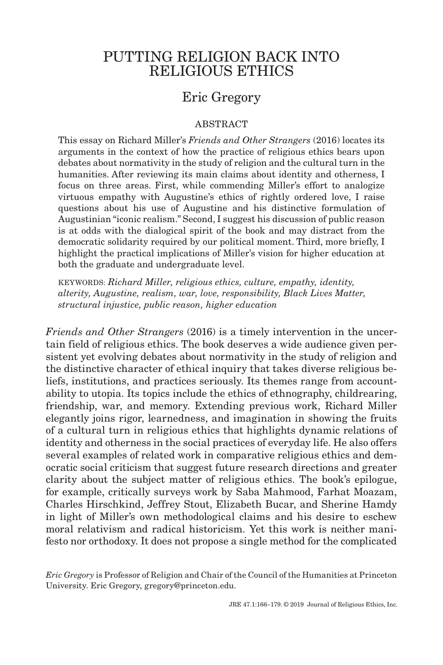# PUTTING RELIGION BACK INTO RELIGIOUS ETHICS

# Eric Gregory

# **ABSTRACT**

This essay on Richard Miller's *Friends and Other Strangers* (2016) locates its arguments in the context of how the practice of religious ethics bears upon debates about normativity in the study of religion and the cultural turn in the humanities. After reviewing its main claims about identity and otherness, I focus on three areas. First, while commending Miller's effort to analogize virtuous empathy with Augustine's ethics of rightly ordered love, I raise questions about his use of Augustine and his distinctive formulation of Augustinian "iconic realism." Second,Isuggest his discussion of public reason is at odds with the dialogical spirit of the book and may distract from the democratic solidarity required by our political moment. Third, more briefly,I highlight the practical implications of Miller's vision for higher education at both the graduate and undergraduate level.

KEYWORDS: *Richard Miller, religious ethics, culture, empathy, identity, alterity, Augustine, realism, war, love, responsibility, Black Lives Matter, structural injustice, public reason, higher education*

*Friends and Other Strangers* (2016) is a timely intervention in the uncertain field of religious ethics. The book deserves a wide audience given persistent yet evolving debates about normativity in the study of religion and the distinctive character of ethical inquiry that takes diverse religious beliefs, institutions, and practices seriously. Its themes range from accountability to utopia. Its topics include the ethics of ethnography, childrearing, friendship, war, and memory. Extending previous work, Richard Miller elegantly joins rigor, learnedness, and imagination in showing the fruits of a cultural turn in religious ethics that highlights dynamic relations of identity and otherness in the social practices of everyday life. He also offers several examples of related work in comparative religious ethics and democratic social criticism that suggest future research directions and greater clarity about the subject matter of religious ethics. The book's epilogue, for example, critically surveys work by Saba Mahmood, Farhat Moazam, Charles Hirschkind, Jeffrey Stout, Elizabeth Bucar, and Sherine Hamdy in light of Miller's own methodological claims and his desire to eschew moral relativism and radical historicism. Yet this work is neither manifesto nor orthodoxy. It does not propose a single method for the complicated

*Eric Gregory* is Professor of Religion and Chair of the Council of the Humanities at Princeton University. Eric Gregory, gregory@princeton.edu.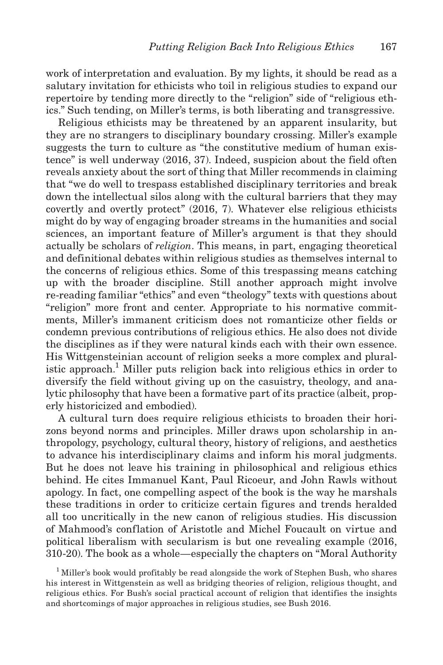work of interpretation and evaluation. By my lights, it should be read as a salutary invitation for ethicists who toil in religious studies to expand our repertoire by tending more directly to the "religion" side of "religious ethics." Such tending, on Miller's terms, is both liberating and transgressive.

Religious ethicists may be threatened by an apparent insularity, but they are no strangers to disciplinary boundary crossing. Miller's example suggests the turn to culture as "the constitutive medium of human existence" is well underway (2016, 37). Indeed, suspicion about the field often reveals anxiety about the sort of thing that Miller recommends in claiming that "we do well to trespass established disciplinary territories and break down the intellectual silos along with the cultural barriers that they may covertly and overtly protect" (2016, 7). Whatever else religious ethicists might do by way of engaging broader streams in the humanities and social sciences, an important feature of Miller's argument is that they should actually be scholars of *religion*. This means, in part, engaging theoretical and definitional debates within religious studies as themselves internal to the concerns of religious ethics. Some of this trespassing means catching up with the broader discipline. Still another approach might involve re-reading familiar "ethics" and even "theology" texts with questions about "religion" more front and center. Appropriate to his normative commitments, Miller's immanent criticism does not romanticize other fields or condemn previous contributions of religious ethics. He also does not divide the disciplines as if they were natural kinds each with their own essence. His Wittgensteinian account of religion seeks a more complex and pluralistic approach.<sup>1</sup> Miller puts religion back into religious ethics in order to diversify the field without giving up on the casuistry, theology, and analytic philosophy that have been a formative part of its practice (albeit, properly historicized and embodied).

A cultural turn does require religious ethicists to broaden their horizons beyond norms and principles. Miller draws upon scholarship in anthropology, psychology, cultural theory, history of religions, and aesthetics to advance his interdisciplinary claims and inform his moral judgments. But he does not leave his training in philosophical and religious ethics behind. He cites Immanuel Kant, Paul Ricoeur, and John Rawls without apology. In fact, one compelling aspect of the book is the way he marshals these traditions in order to criticize certain figures and trends heralded all too uncritically in the new canon of religious studies. His discussion of Mahmood's conflation of Aristotle and Michel Foucault on virtue and political liberalism with secularism is but one revealing example (2016, 310-20). The book as a whole—especially the chapters on "Moral Authority

<sup>&</sup>lt;sup>1</sup> Miller's book would profitably be read alongside the work of Stephen Bush, who shares his interest in Wittgenstein as well as bridging theories of religion, religious thought, and religious ethics. For Bush's social practical account of religion that identifies the insights and shortcomings of major approaches in religious studies, see Bush2016.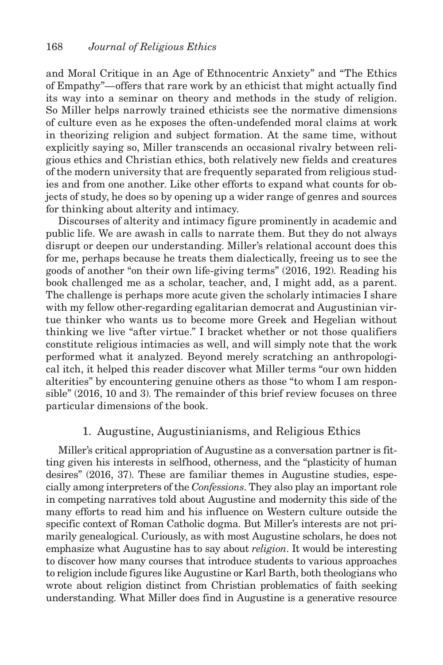and Moral Critique in an Age of Ethnocentric Anxiety" and "The Ethics of Empathy"—offers that rare work by an ethicist that might actually find its way into a seminar on theory and methods in the study of religion. So Miller helps narrowly trained ethicists see the normative dimensions of culture even as he exposes the often-undefended moral claims at work in theorizing religion and subject formation. At the same time, without explicitly saying so, Miller transcends an occasional rivalry between religious ethics and Christian ethics, both relatively new fields and creatures of the modern university that are frequently separated from religious studies and from one another. Like other efforts to expand what counts for objects of study, he does so by opening up a wider range of genres and sources for thinking about alterity and intimacy.

Discourses of alterity and intimacy figure prominently in academic and public life. We are awash in calls to narrate them. But they do not always disrupt or deepen our understanding. Miller's relational account does this for me, perhaps because he treats them dialectically, freeing us to see the goods of another "on their own life-giving terms" (2016, 192). Reading his book challenged me as a scholar, teacher, and,I might add, as a parent. The challenge is perhaps more acute given the scholarly intimacies I share with my fellow other-regarding egalitarian democrat and Augustinian virtue thinker who wants us to become more Greek and Hegelian without thinking we live "after virtue." I bracket whether or not those qualifiers constitute religious intimacies as well, and will simply note that the work performed what it analyzed. Beyond merely scratching an anthropological itch, it helped this reader discover what Miller terms "our own hidden alterities" by encountering genuine others as those "to whom I am responsible" (2016, 10 and 3). The remainder of this brief review focuses on three particular dimensions of the book.

# 1. Augustine, Augustinianisms, and Religious Ethics

Miller's critical appropriation of Augustine as a conversation partner is fitting given his interests in selfhood, otherness, and the "plasticity of human desires" (2016, 37). These are familiar themes in Augustine studies, especially among interpreters of the *Confessions*. They also play an important role in competing narratives told about Augustine and modernity this side of the many efforts to read him and his influence on Western culture outside the specific context of Roman Catholic dogma. But Miller's interests are not primarily genealogical. Curiously, as with most Augustine scholars, he does not emphasize what Augustine has to say about *religion*. It would be interesting to discover how many courses that introduce students to various approaches to religion include figures like Augustine or Karl Barth, both theologians who wrote about religion distinct from Christian problematics of faith seeking understanding. What Miller does find in Augustine is a generative resource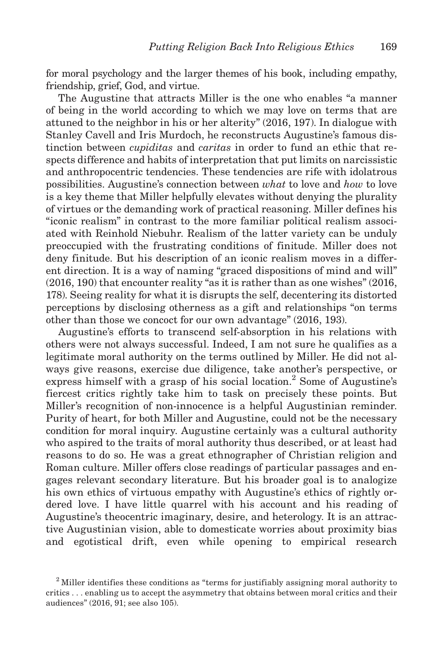for moral psychology and the larger themes of his book, including empathy, friendship, grief, God, and virtue.

The Augustine that attracts Miller is the one who enables "a manner of being in the world according to which we may love on terms that are attuned to the neighbor in his or her alterity" (2016, 197). In dialogue with Stanley Cavell and Iris Murdoch, he reconstructs Augustine's famous distinction between *cupiditas* and *caritas* in order to fund an ethic that respects difference and habits of interpretation that put limits on narcissistic and anthropocentric tendencies. These tendencies are rife with idolatrous possibilities. Augustine's connection between *what* to love and *how* to love is a key theme that Miller helpfully elevates without denying the plurality of virtues or the demanding work of practical reasoning. Miller defines his "iconic realism" in contrast to the more familiar political realism associated with Reinhold Niebuhr. Realism of the latter variety can be unduly preoccupied with the frustrating conditions of finitude. Miller does not deny finitude. But his description of an iconic realism moves in a different direction. It is a way of naming "graced dispositions of mind and will" (2016, 190) that encounter reality "as it is rather than as one wishes" (2016, 178). Seeing reality for what it is disrupts the self, decentering its distorted perceptions by disclosing otherness as a gift and relationships "on terms other than those we concoct for our own advantage" (2016, 193).

Augustine's efforts to transcend self-absorption in his relations with others were not always successful. Indeed,Iam not sure he qualifies as a legitimate moral authority on the terms outlined by Miller. He did not always give reasons, exercise due diligence, take another's perspective, or express himself with a grasp of his social location.<sup>2</sup> Some of Augustine's fiercest critics rightly take him to task on precisely these points. But Miller's recognition of non-innocence is a helpful Augustinian reminder. Purity of heart, for both Miller and Augustine, could not be the necessary condition for moral inquiry. Augustine certainly was a cultural authority who aspired to the traits of moral authority thus described, or at least had reasons to do so. He was a great ethnographer of Christian religion and Roman culture. Miller offers close readings of particular passages and engages relevant secondary literature. But his broader goal is to analogize his own ethics of virtuous empathy with Augustine's ethics of rightly ordered love. I have little quarrel with his account and his reading of Augustine's theocentric imaginary, desire, and heterology. It is an attractive Augustinian vision, able to domesticate worries about proximity bias and egotistical drift, even while opening to empirical research

<sup>&</sup>lt;sup>2</sup> Miller identifies these conditions as "terms for justifiably assigning moral authority to critics . . . enabling us to accept the asymmetry that obtains between moral critics and their audiences" (2016, 91; see also 105).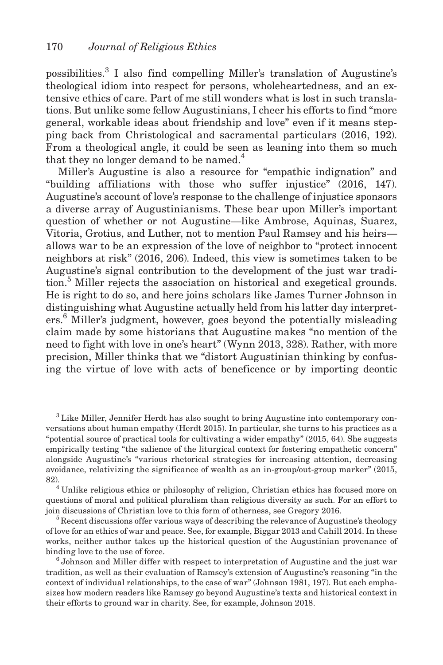possibilities.<sup>3</sup> I also find compelling Miller's translation of Augustine's theological idiom into respect for persons, wholeheartedness, and an extensive ethics of care. Part of me still wonders what is lost in such translations. But unlike some fellow Augustinians, I cheer his efforts to find "more general, workable ideas about friendship and love" even if it means stepping back from Christological and sacramental particulars (2016, 192). From a theological angle, it could be seen as leaning into them so much that they no longer demand to be named. $4$ 

Miller's Augustine is also a resource for "empathic indignation" and "building affiliations with those who suffer injustice" (2016, 147). Augustine's account of love's response to the challenge of injustice sponsors a diverse array of Augustinianisms. These bear upon Miller's important question of whether or not Augustine—like Ambrose, Aquinas, Suarez, Vitoria, Grotius, and Luther, not to mention Paul Ramsey and his heirs allows war to be an expression of the love of neighbor to "protect innocent neighbors at risk" (2016,206). Indeed, this view is sometimes taken to be Augustine's signal contribution to the development of the just war tradition. 5 Miller rejects the association on historical and exegetical grounds. He is right to do so, and here joins scholars like James Turner Johnson in distinguishing what Augustine actually held from his latter day interpreters.<sup>6</sup> Miller's judgment, however, goes beyond the potentially misleading claim made by some historians that Augustine makes "no mention of the need to fight with love in one's heart" (Wynn2013, 328). Rather, with more precision, Miller thinks that we "distort Augustinian thinking by confusing the virtue of love with acts of beneficence or by importing deontic

 $3$  Like Miller, Jennifer Herdt has also sought to bring Augustine into contemporary conversations about human empathy (Herdt 2015). In particular, she turns to his practices as a "potential source of practical tools for cultivating a wider empathy" (2015, 64). She suggests empirically testing "the salience of the liturgical context for fostering empathetic concern" alongside Augustine's "various rhetorical strategies for increasing attention, decreasing avoidance, relativizing the significance of wealth as an in-group/out-group marker" (2015, 82).

4 Unlike religious ethics or philosophy of religion, Christian ethics has focused more on questions of moral and political pluralism than religious diversity as such. For an effort to join discussions of Christian love to this form of otherness, see Gregory 2016.

 $<sup>5</sup>$  Recent discussions offer various ways of describing the relevance of Augustine's theology</sup> of love for an ethics of war and peace. See, for example, Biggar 2013 and Cahill 2014. In these works, neither author takes up the historical question of the Augustinian provenance of binding love to the use of force.

 $6$  Johnson and Miller differ with respect to interpretation of Augustine and the just war tradition, as well as their evaluation of Ramsey's extension of Augustine's reasoning "in the context of individual relationships, to the case of war" (Johnson 1981, 197). But each emphasizes how modern readers like Ramsey go beyond Augustine's texts and historical context in their efforts to ground war in charity. See, for example, Johnson2018.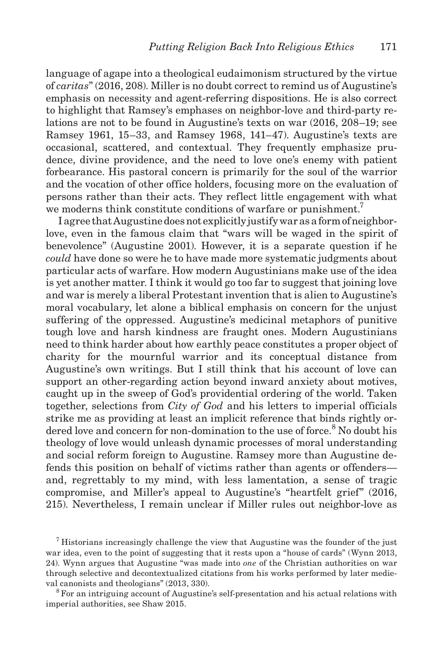language of agape into a theological eudaimonism structured by the virtue of *caritas*" (2016,208). Miller is no doubt correct to remind us of Augustine's emphasis on necessity and agent-referring dispositions. He is also correct to highlight that Ramsey's emphases on neighbor-love and third-party relations are not to be found in Augustine's texts on war (2016, 208–19; see Ramsey 1961, 15–33, and Ramsey 1968, 141–47). Augustine's texts are occasional, scattered, and contextual. They frequently emphasize prudence, divine providence, and the need to love one's enemy with patient forbearance. His pastoral concern is primarily for the soul of the warrior and the vocation of other office holders, focusing more on the evaluation of persons rather than their acts. They reflect little engagement with what we moderns think constitute conditions of warfare or punishment.<sup>7</sup>

Iagree that Augustine doesnot explicitly justify waras a form ofneighborlove, even in the famous claim that "wars will be waged in the spirit of benevolence" (Augustine 2001). However, it is a separate question if he *could* have done so were he to have made more systematic judgments about particular acts of warfare. How modern Augustinians make use of the idea is yet another matter. Ithink it would go too far to suggest that joining love and war is merely a liberal Protestant invention that is alien to Augustine's moral vocabulary, let alone a biblical emphasis on concern for the unjust suffering of the oppressed. Augustine's medicinal metaphors of punitive tough love and harsh kindness are fraught ones. Modern Augustinians need to think harder about how earthly peace constitutes a proper object of charity for the mournful warrior and its conceptual distance from Augustine's own writings. But I still think that his account of love can support an other-regarding action beyond inward anxiety about motives, caught up in the sweep of God's providential ordering of the world. Taken together, selections from *City of God* and his letters to imperial officials strike me as providing at least an implicit reference that binds rightly ordered love and concern for non-domination to the use of force.<sup>8</sup> No doubt h theology of love would unleash dynamic processes of moral understanding and social reform foreign to Augustine. Ramsey more than Augustine defends this position on behalf of victims rather than agents or offenders and, regrettably to my mind, with less lamentation, a sense of tragic compromise, and Miller's appeal to Augustine's "heartfelt grief" (2016, 215). Nevertheless, I remain unclear if Miller rules out neighbor-love as

<sup>&</sup>lt;sup>7</sup> Historians increasingly challenge the view that Augustine was the founder of the just war idea, even to the point of suggesting that it rests upon a "house of cards" (Wynn 2013, 24). Wynn argues that Augustine "was made into *one* of the Christian authorities on war through selective and decontextualized citations from his works performed by later medieval canonists and theologians" (2013, 330).

 $8$  For an intriguing account of Augustine's self-presentation and his actual relations with imperial authorities, see Shaw 2015.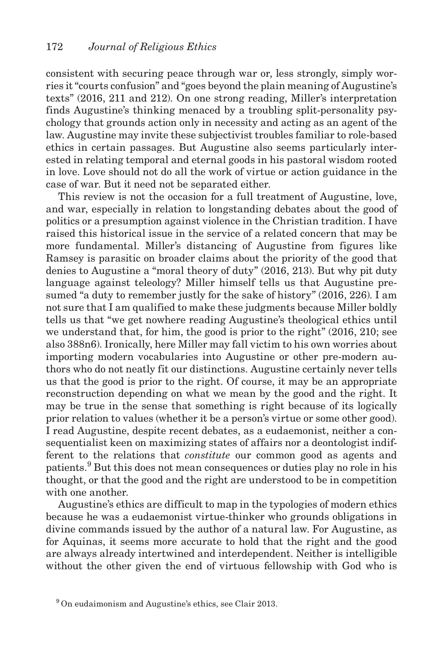consistent with securing peace through war or, less strongly, simply worries it "courts confusion" and "goes beyond the plain meaning of Augustine's texts" (2016,211 and 212). On one strong reading, Miller's interpretation finds Augustine's thinking menaced by a troubling split-personality psychology that grounds action only in necessity and acting as an agent of the law. Augustine may invite these subjectivist troubles familiar to role-based ethics in certain passages. But Augustine also seems particularly interested in relating temporal and eternal goods in his pastoral wisdom rooted in love. Love should not do all the work of virtue or action guidance in the case of war. But it need not be separated either.

This review is not the occasion for a full treatment of Augustine, love, and war, especially in relation to longstanding debates about the good of politics or a presumption against violence in the Christian tradition. Ihave raised this historical issue in the service of a related concern that may be more fundamental. Miller's distancing of Augustine from figures like Ramsey is parasitic on broader claims about the priority of the good that denies to Augustine a "moral theory of duty" (2016,213). But why pit duty language against teleology? Miller himself tells us that Augustine presumed "a duty to remember justly for the sake of history" (2016, 226). I am not sure that I am qualified to make these judgments because Miller boldly tells us that "we get nowhere reading Augustine's theological ethics until we understand that, for him, the good is prior to the right" (2016, 210; see also 388n6). Ironically, here Miller may fall victim to his own worries about importing modern vocabularies into Augustine or other pre-modern authors who do not neatly fit our distinctions. Augustine certainly never tells us that the good is prior to the right. Of course, it may be an appropriate reconstruction depending on what we mean by the good and the right. It may be true in the sense that something is right because of its logically prior relation to values (whether it be a person's virtue or some other good). Iread Augustine, despite recent debates, as a eudaemonist, neither a consequentialist keen on maximizing states of affairs nor a deontologist indifferent to the relations that *constitute* our common good as agents and patients. <sup>9</sup> But this does not mean consequences or duties play no role in h thought, or that the good and the right are understood to be in competition with one another.

Augustine's ethics are difficult to map in the typologies of modern ethics because he was a eudaemonist virtue-thinker who grounds obligations in divine commands issued by the author of a natural law. For Augustine, as for Aquinas, it seems more accurate to hold that the right and the good are always already intertwined and interdependent. Neither is intelligible without the other given the end of virtuous fellowship with God who is

 $9$  On eudaimonism and Augustine's ethics, see Clair 2013.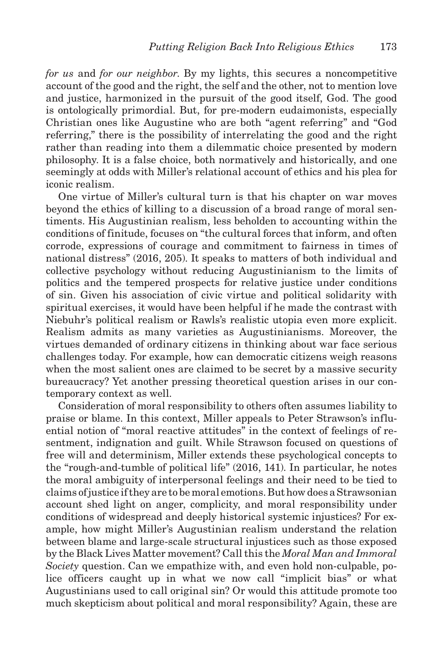*for us* and *for our neighbor*. By my lights, this secures a noncompetitive account of the good and the right, the self and the other, not to mention love and justice, harmonized in the pursuit of the good itself, God. The good is ontologically primordial. But, for pre-modern eudaimonists, especially Christian ones like Augustine who are both "agent referring" and "God referring," there is the possibility of interrelating the good and the right rather than reading into them a dilemmatic choice presented by modern philosophy. It is a false choice, both normatively and historically, and one seemingly at odds with Miller's relational account of ethics and his plea for iconic realism.

One virtue of Miller's cultural turn is that his chapter on war moves beyond the ethics of killing to a discussion of a broad range of moral sentiments. His Augustinian realism, less beholden to accounting within the conditions of finitude, focuses on "the cultural forces that inform, and often corrode, expressions of courage and commitment to fairness in times of national distress" (2016, 205). It speaks to matters of both individual and collective psychology without reducing Augustinianism to the limits of politics and the tempered prospects for relative justice under conditions of sin. Given his association of civic virtue and political solidarity with spiritual exercises, it would have been helpful if he made the contrast with Niebuhr's political realism or Rawls's realistic utopia even more explicit. Realism admits as many varieties as Augustinianisms. Moreover, the virtues demanded of ordinary citizens in thinking about war face serious challenges today. For example, how can democratic citizens weigh reasons when the most salient ones are claimed to be secret by a massive security bureaucracy? Yet another pressing theoretical question arises in our contemporary context as well.

Consideration of moral responsibility to others often assumes liability to praise or blame. In this context, Miller appeals to Peter Strawson's influential notion of "moral reactive attitudes" in the context of feelings of resentment, indignation and guilt. While Strawson focused on questions of free will and determinism, Miller extends these psychological concepts to the "rough-and-tumble of political life" (2016, 141). In particular, he notes the moral ambiguity of interpersonal feelings and their need to be tied to claims of justice ifthey are to be moral emotions. Buthow does a Strawsonian account shed light on anger, complicity, and moral responsibility under conditions of widespread and deeply historical systemic injustices? For example, how might Miller's Augustinian realism understand the relation between blame and large-scale structural injustices such as those exposed by the Black Lives Matter movement? Callthis the *Moral Man and Immoral Society* question. Can we empathize with, and even hold non-culpable, police officers caught up in what we now call "implicit bias" or what Augustinians used to call original sin? Or would this attitude promote too much skepticism about political and moral responsibility? Again, these are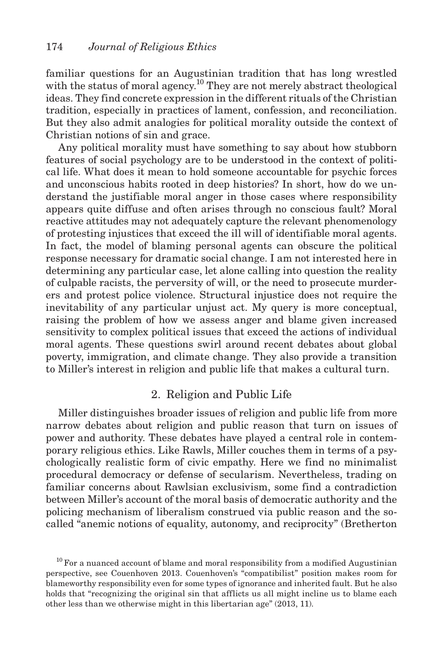familiar questions for an Augustinian tradition that has long wrestled with the status of moral agency.<sup>10</sup> They are not merely abstract the ideas. They find concrete expression in the different rituals of the Christian tradition, especially in practices of lament, confession, and reconciliation. But they also admit analogies for political morality outside the context of Christian notions of sin and grace.

Any political morality must have something to say about how stubborn features of social psychology are to be understood in the context of political life. What does it mean to hold someone accountable for psychic forces and unconscious habits rooted in deep histories? In short, how do we understand the justifiable moral anger in those cases where responsibility appears quite diffuse and often arises through no conscious fault? Moral reactive attitudes may not adequately capture the relevant phenomenology of protesting injustices that exceed the ill will of identifiable moral agents. In fact, the model of blaming personal agents can obscure the political response necessary for dramatic social change. Iam not interested here in determining any particular case, let alone calling into question the reality of culpable racists, the perversity of will, or the need to prosecute murderers and protest police violence. Structural injustice does not require the inevitability of any particular unjust act. My query is more conceptual, raising the problem of how we assess anger and blame given increased sensitivity to complex political issues that exceed the actions of individual moral agents. These questions swirl around recent debates about global poverty, immigration, and climate change. They also provide a transition to Miller's interest in religion and public life that makes a cultural turn.

# 2. Religion and Public Life

Miller distinguishes broader issues of religion and public life from more narrow debates about religion and public reason that turn on issues of power and authority. These debates have played a central role in contemporary religious ethics. Like Rawls, Miller couches them in terms of a psychologically realistic form of civic empathy. Here we find no minimalist procedural democracy or defense of secularism. Nevertheless, trading on familiar concerns about Rawlsian exclusivism, some find a contradiction between Miller's account of the moral basis of democratic authority and the policing mechanism of liberalism construed via public reason and the socalled "anemic notions of equality, autonomy, and reciprocity" (Bretherton

 $10$  For a nuanced account of blame and moral responsibility from a modified Augustinian perspective, see Couenhoven 2013. Couenhoven's "compatibilist" position makes room for blameworthy responsibility even for some types of ignorance and inherited fault. But he also holds that "recognizing the original sin that afflicts us all might incline us to blame each other less than we otherwise might in this libertarian age" (2013, 11).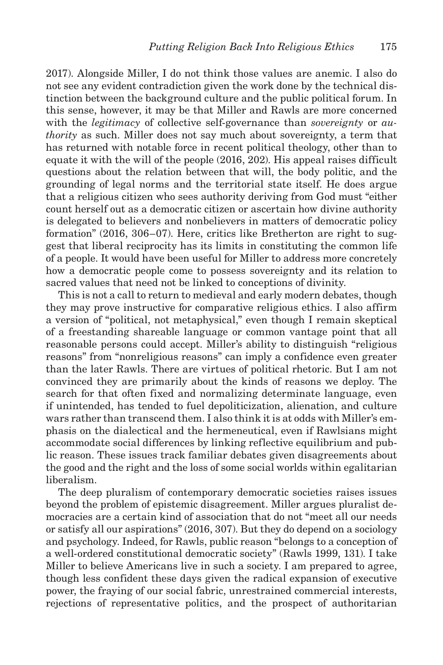2017). Alongside Miller,I do not think those values are anemic. Ialso do not see any evident contradiction given the work done by the technical distinction between the background culture and the public political forum. In this sense, however, it may be that Miller and Rawls are more concerned with the *legitimacy* of collective self-governance than *sovereignty* or *authority* as such. Miller does not say much about sovereignty, a term that has returned with notable force in recent political theology, other than to equate it with the will of the people (2016,202). His appeal raises difficult questions about the relation between that will, the body politic, and the grounding of legal norms and the territorial state itself. He does argue that a religious citizen who sees authority deriving from God must "either count herself out as a democratic citizen or ascertain how divine authority is delegated to believers and nonbelievers in matters of democratic policy formation" (2016, 306–07). Here, critics like Bretherton are right to suggest that liberal reciprocity has its limits in constituting the common life of a people. It would have been useful for Miller to address more concretely how a democratic people come to possess sovereignty and its relation to sacred values that need not be linked to conceptions of divinity.

This is not a call to return to medieval and early modern debates, though they may prove instructive for comparative religious ethics. Ialso affirm a version of "political, not metaphysical," even though I remain skeptical of a freestanding shareable language or common vantage point that all reasonable persons could accept. Miller's ability to distinguish "religious reasons" from "nonreligious reasons" can imply a confidence even greater than the later Rawls. There are virtues of political rhetoric. But I am not convinced they are primarily about the kinds of reasons we deploy. The search for that often fixed and normalizing determinate language, even if unintended, has tended to fuel depoliticization, alienation, and culture wars rather than transcend them. Ialso think it is at odds with Miller's emphasis on the dialectical and the hermeneutical, even if Rawlsians might accommodate social differences by linking reflective equilibrium and public reason. These issues track familiar debates given disagreements about the good and the right and the loss of some social worlds within egalitarian liberalism.

The deep pluralism of contemporary democratic societies raises issues beyond the problem of epistemic disagreement. Miller argues pluralist democracies are a certain kind of association that do not "meet all our needs or satisfy all our aspirations" (2016, 307). But they do depend on a sociology and psychology. Indeed, for Rawls, public reason "belongs to a conception of a well-ordered constitutional democratic society" (Rawls 1999, 131). Itake Miller to believe Americans live in such a society. Iam prepared to agree, though less confident these days given the radical expansion of executive power, the fraying of our social fabric, unrestrained commercial interests, rejections of representative politics, and the prospect of authoritarian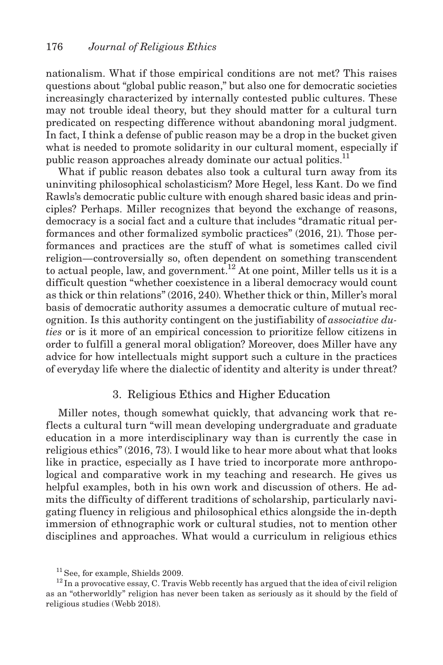nationalism. What if those empirical conditions are not met? This raises questions about "global public reason," but also one for democratic societies increasingly characterized by internally contested public cultures. These may not trouble ideal theory, but they should matter for a cultural turn predicated on respecting difference without abandoning moral judgment. In fact, I think a defense of public reason may be a drop in the bucket given what is needed to promote solidarity in our cultural moment, especially if public reason approaches already dominate our actual politics.<sup>11</sup>

What if public reason debates also took a cultural turn away from its uninviting philosophical scholasticism? More Hegel, less Kant. Do we find Rawls's democratic public culture with enough shared basic ideas and principles? Perhaps. Miller recognizes that beyond the exchange of reasons, democracy is a social fact and a culture that includes "dramatic ritual performances and other formalized symbolic practices" (2016,21). Those performances and practices are the stuff of what is sometimes called civil religion—controversially so, often dependent on something transcendent to actual people, law, and government.<sup>12</sup> At one point, Miller tells us it is a difficult question "whether coexistence in a liberal democracy would count as thick or thin relations" (2016,240). Whether thick or thin, Miller's moral basis of democratic authority assumes a democratic culture of mutual recognition. Is this authority contingent on the justifiability of *associative duties* or is it more of an empirical concession to prioritize fellow citizens in order to fulfill a general moral obligation? Moreover, does Miller have any advice for how intellectuals might support such a culture in the practices of everyday life where the dialectic of identity and alterity is under threat?

# 3. Religious Ethics and Higher Education

Miller notes, though somewhat quickly, that advancing work that reflects a cultural turn "will mean developing undergraduate and graduate education in a more interdisciplinary way than is currently the case in religious ethics" (2016, 73). I would like to hear more about what that looks like in practice, especially as I have tried to incorporate more anthropological and comparative work in my teaching and research. He gives us helpful examples, both in his own work and discussion of others. He admits the difficulty of different traditions of scholarship, particularly navigating fluency in religious and philosophical ethics alongside the in-depth immersion of ethnographic work or cultural studies, not to mention other disciplines and approaches. What would a curriculum in religious ethics

 $11$  See, for example, Shields 2009.

 $12$ In a provocative essay, C. Travis Webb recently has argued that the idea of civil religion as an "otherworldly" religion has never been taken as seriously as it should by the field of religious studies (Webb 2018).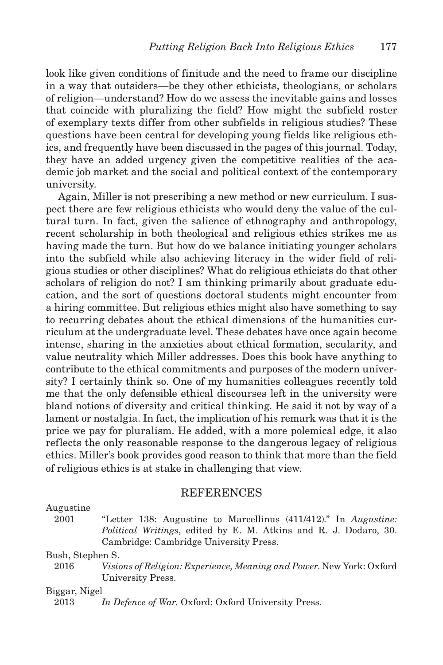look like given conditions of finitude and the need to frame our discipline in a way that outsiders—be they other ethicists, theologians, or scholars of religion—understand? How do we assess the inevitable gains and losses that coincide with pluralizing the field? How might the subfield roster of exemplary texts differ from other subfields in religious studies? These questions have been central for developing young fields like religious ethics, and frequently have been discussed in the pages of this journal. Today, they have an added urgency given the competitive realities of the academic job market and the social and political context of the contemporary university.

Again, Miller is not prescribing a new method or new curriculum. I suspect there are few religious ethicists who would deny the value of the cultural turn. In fact, given the salience of ethnography and anthropology, recent scholarship in both theological and religious ethics strikes me as having made the turn. But how do we balance initiating younger scholars into the subfield while also achieving literacy in the wider field of religious studies or other disciplines? What do religious ethicists do that other scholars of religion do not? Iam thinking primarily about graduate education, and the sort of questions doctoral students might encounter from a hiring committee. But religious ethics might also have something to say to recurring debates about the ethical dimensions of the humanities curriculum at the undergraduate level. These debates have once again become intense, sharing in the anxieties about ethical formation, secularity, and value neutrality which Miller addresses. Does this book have anything to contribute to the ethical commitments and purposes of the modern university? I certainly think so. One of my humanities colleagues recently told me that the only defensible ethical discourses left in the university were bland notions of diversity and critical thinking. He said it not by way of a lament or nostalgia. In fact, the implication of his remark was that it is the price we pay for pluralism. He added, with a more polemical edge, it also reflects the only reasonable response to the dangerous legacy of religious ethics. Miller's book provides good reason to think that more than the field of religious ethics is at stake in challenging that view.

# REFERENCES

Augustine

2001 "Letter 138: Augustine to Marcellinus (411/412)." In *Augustine: Political Writings*, edited by E. M. Atkins and R. J. Dodaro, 30. Cambridge: Cambridge University Press.

Bush, Stephen S.

2016 *Visions of Religion: Experience, Meaning and Power*. New York: Oxford University Press.

Biggar, Nigel

<sup>2013</sup> *In Defence of War*. Oxford: Oxford University Press.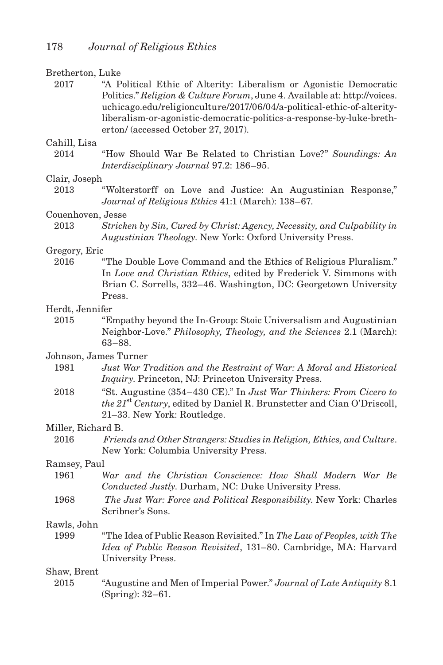# Bretherton, Luke

2017 "A Political Ethic of Alterity: Liberalism or Agonistic Democratic Politics." *Religion & Culture Forum*, June 4. Available at: [http://voices.](http://voices.uchicago.edu/religionculture/2017/06/04/a-political-ethic-of-alterity-liberalism-or-agonistic-democratic-politics-a-response-by-luke-bretherton/) [uchicago.edu/religionculture/2017/06/04/a-political-ethic-of-alterity](http://voices.uchicago.edu/religionculture/2017/06/04/a-political-ethic-of-alterity-liberalism-or-agonistic-democratic-politics-a-response-by-luke-bretherton/)[liberalism-or-agonistic-democratic-politics-a-response-by-luke-breth](http://voices.uchicago.edu/religionculture/2017/06/04/a-political-ethic-of-alterity-liberalism-or-agonistic-democratic-politics-a-response-by-luke-bretherton/)[erton/](http://voices.uchicago.edu/religionculture/2017/06/04/a-political-ethic-of-alterity-liberalism-or-agonistic-democratic-politics-a-response-by-luke-bretherton/) (accessed October 27, 2017).

## Cahill, Lisa

2014 "How Should War Be Related to Christian Love?" *Soundings: An Interdisciplinary Journal* 97.2: 186–95.

#### Clair, Joseph

2013 "Wolterstorff on Love and Justice: An Augustinian Response," *Journal of Religious Ethics* 41:1 (March): 138–67.

#### Couenhoven, Jesse

2013 *Stricken by Sin, Cured by Christ: Agency, Necessity, and Culpability in Augustinian Theology*. New York: Oxford University Press.

#### Gregory, Eric

2016 "The Double Love Command and the Ethics of Religious Pluralism." In *Love and Christian Ethics*, edited by Frederick V. Simmons with Brian C. Sorrells, 332–46. Washington, DC: Georgetown University Press.

## Herdt, Jennifer

2015 "Empathy beyond theIn-Group: Stoic Universalism and Augustinian Neighbor-Love." *Philosophy, Theology, and the Sciences*2.1 (March): 63–88.

## Johnson, James Turner

- 1981 *Just War Tradition and the Restraint of War: A Moral and Historical Inquiry*. Princeton, NJ: Princeton University Press.
- 2018 "St. Augustine (354–430 CE)." In *Just War Thinkers: From Cicero to the 21*st *Century*, edited by Daniel R. Brunstetter and Cian O'Driscoll, 21–33. New York: Routledge.

### Miller, Richard B.

2016 *Friends and Other Strangers: Studies in Religion, Ethics, and Culture*. New York: Columbia University Press.

## Ramsey, Paul

- 1961 *War and the Christian Conscience: How Shall Modern War Be Conducted Justly*. Durham, NC: Duke University Press.
- 1968 *The Just War: Force and Political Responsibility*. New York: Charles Scribner's Sons.

#### Rawls, John

1999 "TheIdea of Public Reason Revisited." In *The Law of Peoples, with The Idea of Public Reason Revisited*, 131–80. Cambridge, MA: Harvard University Press.

#### Shaw, Brent

2015 "Augustine and Men ofImperial Power." *Journal of Late Antiquity* 8.1 (Spring): 32–61.